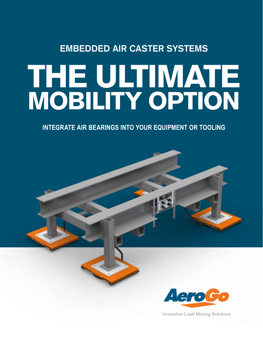# **EMBEDDED AIR CASTER SYSTEMS**

# THE ULTIMATE MOBILITY OPTION

**INTEGRATE AIR BEARINGS INTO YOUR EQUIPMENT OR TOOLING**



Innovative Load Moving Solutions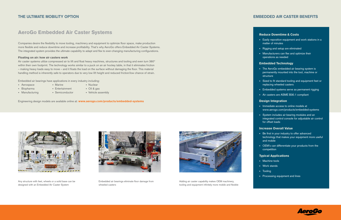# **EMBEDDED AIR CASTER BENEFITS**

#### Reduce Downtime & Costs

- Easily reposition equipment and work stations in a matter of minutes
- Rigging and setup are eliminated
- Manufacturers can flex and optimize their operations as needed

#### Embedded Technology

- The AeroGo embedded air bearing system is permanently mounted into the tool, machine or structure
- Sized to fit standard tooling and equipment feet or replacing wheeled casters
- Embedded systems serve as permanent rigging
- Air casters are ASME B30.1 compliant

### Design Integration

- Immediate access to online models at www.aerogo.com/products/embedded-systems
- System includes air bearing modules and an integrated control console for adjustable air control for offset loads

## Increase Overall Value

- Be first in your industry to offer advanced technology that makes your equipment more useful and mobile
- OEM's can differentiate your products from the competition

## Typical Applications

- Machine tools
- Work stands
- Tooling
- Processing equipment and lines



# AeroGo Embedded Air Caster Systems

## **THE ULTIMATE MOBILITY OPTION**

Companies desire the flexibility to move tooling, machinery and equipment to optimize floor space, make production more flexible and reduce downtime and increase profitability. That's why AeroGo offers Embedded Air Caster Systems. The integrated system provides the ultimate capability to adapt and flex to ever-changing manufacturing configurations.

#### Floating on air: how air casters work

Air caster systems utilize compressed air to lift and float heavy machines, structures and tooling and even turn 360° within their own footprint. The technology works similar to a puck on an air hockey table, in that it eliminates friction – making heavy loads easy to move – and it floats the load on the surface without damaging the floor. This material handling method is inherently safe to operators due to very low lift height and reduced friction/low chance of strain.

Embedded air bearings have applications in every industry including:

- Aerospace Marine Marine Nuclear
	-
- 
- 
- Biopharma Entertainment Oil & gas
- Manufacturing Semiconductor Vehicle assembly

Engineering design models are available online at: www.aerogo.com/products/embedded-systems



Any structure with feet, wheels or a solid base can be designed with an Embedded Air Caster System



Embedded air bearings eliminate floor damage from wheeled casters



Adding air caster capability makes OEM machinery, tooling and equipment infinitely more mobile and flexible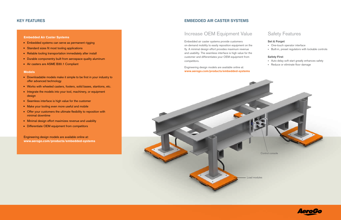#### Embedded Air Caster Systems

- Embedded systems can serve as permanent rigging
- Standard sizes fit most tooling applications
- Reliable tooling transportation immediately after install
- Durable componentry built from aerospace quality aluminum
- Air casters are ASME B30.1 Compliant

#### Models

- Downloadable models make it simple to be first in your industry to offer advanced technology
- Works with wheeled casters, footers, solid bases, stantions, etc.
- Integrate the models into your tool, machinery, or equipment design
- Seamless interface is high value for the customer
- Make your tooling even more useful and mobile
- Offer your customers the ultimate flexibility to reposition with minimal downtime
- Minimal design effort maximizes revenue and usability
- Differentiate OEM equipment from competitors

Engineering design models are available online at: www.aerogo.com/products/embedded-systems

# Increase OEM Equipment Value Safety Features

## **KEY FEATURES**

# **EMBEDDED AIR CASTER SYSTEMS**

Embedded air caster systems provide customers on-demand mobility to easily reposition equipment on the fly. A minimal design effort provides maximum revenue and usability. The seamless interface is high value for the customer and differentiates your OEM equipment from competitors.

Engineering design models are available online at: www.aerogo.com/products/embedded-systems Set & Forget

- One-touch operator interface
- Built-in, preset regulators with lockable controls

#### Safety First

- Auto delay soft start greatly enhances safety
- Reduce or eliminate floor damage



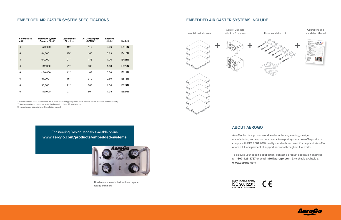# **ABOUT AEROGO**

AeroGo, Inc. is a proven world leader in the engineering, design, manufacturing and support of material transport systems. AeroGo products comply with ISO 9001:2015 quality standards and are CE compliant. AeroGo offers a full complement of support services throughout the world.

To discuss your specific application, contact a product application engineer at 1-800-426-4757 or email info@aerogo.com. Live chat is available at www.aerogo.com





with 4 or 6 controls Hose Installation Kit

| # of modules<br>in kit* | <b>Maximum System</b><br>Capacity (lbs.)* | <b>Load Module</b><br>Size (in.) | <b>Air Consumption</b><br>(SCFM)** | <b>Effective</b><br>Lift (in.) | Model # |
|-------------------------|-------------------------------------------|----------------------------------|------------------------------------|--------------------------------|---------|
| $\overline{4}$          | $<$ 20,000                                | 12"                              | 112                                | 0.56                           | E412N   |
| $\overline{4}$          | 34,000                                    | 15"                              | 140                                | 0.69                           | E415N   |
| $\overline{4}$          | 64,000                                    | 21"                              | 175                                | 1.06                           | E421N   |
| $\overline{4}$          | 112,000                                   | 27"                              | 336                                | 1.38                           | E427N   |
| 6                       | $<$ 30,000                                | 12"                              | 168                                | 0.56                           | E612N   |
| 6                       | 51,000                                    | 15"                              | 210                                | 0.69                           | E615N   |
| 6                       | 96,000                                    | 21"                              | 263                                | 1.06                           | E621N   |
| 6                       | 112,000                                   | 27"                              | 504                                | 1.38                           | E627N   |

# **EMBEDDED AIR CASTER SYSTEM SPECIFICATIONS**

\* Number of modules is the same as the number of load/support points. More support points available, contact factory.

\*\* Air consumption is based on 100% load capacity plus a .75 safety factor

Systems include operations and installation manual

## **EMBEDDED AIR CASTER SYSTEMS INCLUDE**

Engineering Design Models available online www.aerogo.com/products/embedded-systems









Operations and Installation Manual









Durable components built with aerospace quality aluminum